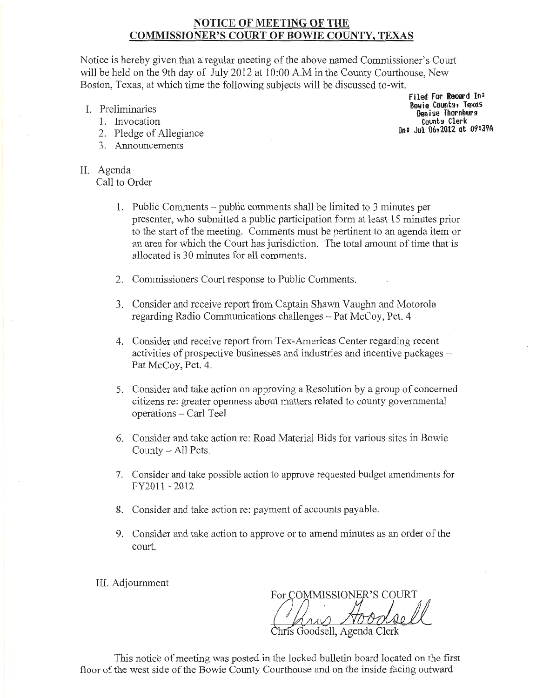# NOTICE OF MEETING OF THE COMMISSIONER'S COURT OF BOWIE COUNTY, TEXAS

Notice is hereby given that a regular meeting of the above named Commissioner's Court will be held on the 9th day of July 2012 at 10:00 A.M in the County Courthouse, New Boston, Texas, at which time the following subjects will be discussed to-wit.

- I. Preliminaries
	- 1. Invocation
	- 2. Pledge of Allegiance
	- 3. Announcements
- II. Agenda Call to Order

filed for **Record** In: Bowie County, Texas Denise Thornburg Counts Clerk On: Jul 06r2012 at 09:39A

- 1. Public Comments -public comments shall be limited to 3 minutes per presenter, who submitted a public participation form at least 15 minutes prior to the start of the meeting. Comments must be pertinent to an agenda item or an area for which the Court has jurisdiction. The total amount of time that is allocated is 30 minutes for all comments.
- 2. Commissioners Court response to Public Comments.
- 3. Consider and receive report from Captain Shawn Vaughn and Motorola regarding Radio Communications challenges- Pat McCoy, Pet. 4
- 4. Consider and receive report from Tex-Americas Center regarding recent activities of prospective businesses and industries and incentive packages – Pat McCoy, Pct. 4.
- 5. Consider and take action on approving a Resolution by a group of concerned citizens re: greater openness about matters related to county governmental operations - Carl Teel
- 6. Consider and take action re: Road Material Bids for various sites in Bowie County- All Pets.
- 7. Consider and take possible action to approve requested budget amendments for FY2011 -2012
- 8. Consider and take action re: payment of accounts payable.
- 9. Consider and take action to approve or to amend minutes as an order of the court.

III. Adjournment

For COMMISSIONER'S COURT

Goodsell, Agenda Clerk

This notice of meeting was posted in the locked bulletin board located on the first floor of the west side of the Bowie County Courthouse and on the inside facing outward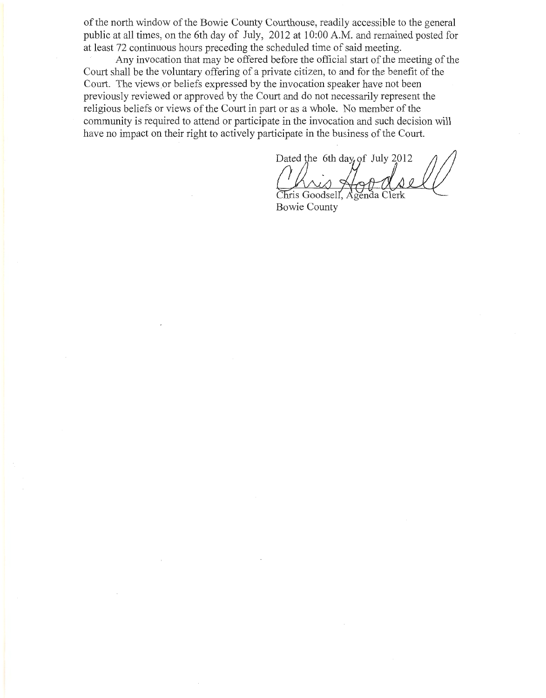ofthe north window of the Bowie County Courthouse, readily accessible to the general public at all times, on the 6th day of July, 2012 at 10:00 A.M. and remained posted for at least 72 continuous hours preceding the scheduled time of said meeting.

Any invocation that may be offered before the official start of the meeting of the Court shall be the voluntary offering of a private citizen, to and for the benefit of the Court. The views or beliefs expressed by the invocation speaker have not been previously reviewed or approved by the Court and do not necessarily represent the religious beliefs or views of the Court in part or as a whole. No member of the community is required to attend or participate in the invocation and such decision will have no impact on their right to actively participate in the business of the Court.

Dated the 6th day, of July 2012

Chris Goodsell. **Bowie County**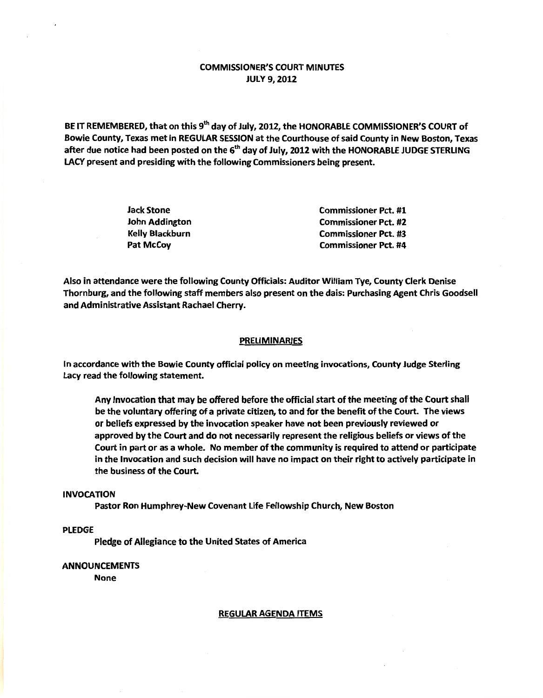## COMMISSIONER'S COURT MINUTES **JULY 9, 2012**

BE IT REMEMBERED, that on this 9<sup>th</sup> day of July, 2012, the HONORABLE COMMISSIONER'S COURT of Bowie County, Texas met in REGULAR SESSION at the Courthouse of said County in New Boston, Texas after due notice had been posted on the 6<sup>th</sup> day of July, 2012 with the HONORABLE JUDGE STERLING LACY present and presiding with the following Commissioners being present.

| <b>Jack Stone</b>      | <b>Commissioner Pct. #1</b> |
|------------------------|-----------------------------|
| John Addington         | <b>Commissioner Pct. #2</b> |
| <b>Kelly Blackburn</b> | <b>Commissioner Pct. #3</b> |
| Pat McCoy              | <b>Commissioner Pct. #4</b> |

Also in attendance were the following County Officials: Auditor William Tye, County Clerk Denise Thornburg, and the following staff members also present on the dais: Purchasing Agent Chris Goodsell and Administrative Assistant Rachael Cherry.

### **PRELIMINARIES**

In accordance with the Bowie County official policy on meeting invocations, County Judge Sterling lacy read the following statement.

Any Invocation that may be offered before the official start of the meeting of the Court shall be the voluntary offering of a private citizen, to and for the benefit of the Court. The views or beliefs expressed by the invocation speaker have not been previously reviewed or approved by the Court and do not necessarily represent the religious beliefs or views of the Court in part or as a whole. No member of the community is required to attend or participate in the Invocation and such decision will have no impact on their right to actively participate in the business of the Court.

### INVOCATION

Pastor Ron Humphrey-New Covenant life Fellowship Church, New Boston

## PLEDGE

Pledge of Allegiance to the United States of America

### ANNOUNCEMENTS

None

#### REGULAR AGENDA ITEMS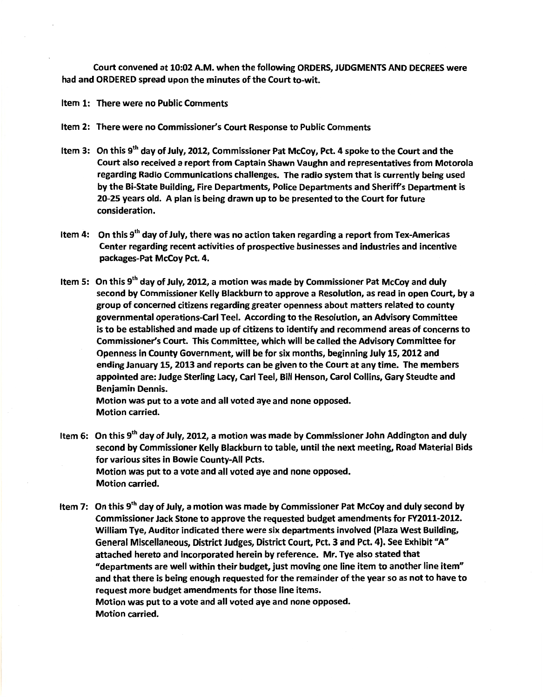Court convened at 10:02 A.M. when the following ORDERS, JUDGMENTS AND DECREES were had and ORDERED spread upon the minutes of the Court to-wit.

Item 1: There were no Public Comments

- Item 2: There were no Commissioner's Court Response to Public Comments
- Item 3: On this 9<sup>th</sup> day of July, 2012, Commissioner Pat McCoy, Pct. 4 spoke to the Court and the Court also received a report from Captain Shawn Vaughn and representatives from Motorola regarding Radio Communications challenges. The radio system that is currently being used by the Bi-State Building, Fire Departments, Police Departments and Sheriff's Department is 20-25 years old. A plan is being drawn up to be presented to the Court for future consideration.
- Item 4: On this  $9<sup>th</sup>$  day of July, there was no action taken regarding a report from Tex-Americas Center regarding recent activities of prospective businesses and industries and incentive packages-Pat McCoy Pet. 4.
- Item 5: On this 9<sup>th</sup> day of July, 2012, a motion was made by Commissioner Pat McCoy and duly second by Commissioner Kelly Blackburn to approve a Resolution, as read in open Court, by a group of concerned citizens regarding greater openness about matters related to county governmental operations-Carl Teel. According to the Resolution, an Advisory Committee is to be established and made up of citizens to identify and recommend areas of concerns to Commissioner's Court. This Committee, which will be called the Advisory Committee for Openness in County Government, will be for six months, beginning July 15, 2012 and ending January 15, 2013 and reports can be given to the Court at any time. The members appointed are: Judge Sterling Lacy, Carl Teel, Bill Henson, Carol Collins, Gary Steudte and Benjamin Dennis.

Motion was put to a vote and all voted aye and none opposed. Motion carried.

- Item 6: On this 9<sup>th</sup> day of July, 2012, a motion was made by Commissioner John Addington and duly second by Commissioner Kelly Blackburn to table, until the next meeting, Road Material Bids for various sites in Bowie County-All Pcts. Motion was put to a vote and all voted aye and none opposed. Motion carried.
- Item 7: On this  $9<sup>th</sup>$  day of July, a motion was made by Commissioner Pat McCoy and duly second by Commissioner Jack Stone to approve the requested budget amendments for FY2011-2012. William Tye, Auditor indicated there were six departments involved (Plaza West Building, General Miscellaneous, District Judges, District Court, Pet. 3 and Pet. 4). See Exhibit "A" attached hereto and incorporated herein by reference. Mr. Tye also stated that "departments are well within their budget, just moving one line item to another line item" and that there is being enough requested for the remainder of the year so as not to have to request more budget amendments for those line items. Motion was put to a vote and all voted aye and none opposed. Motion carried.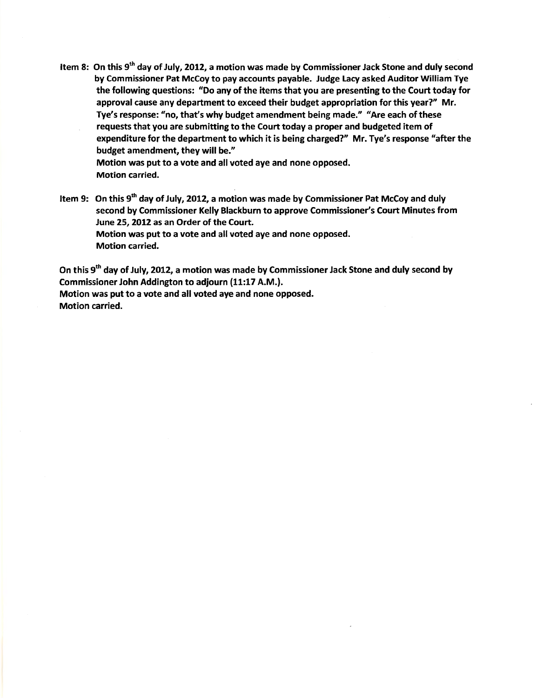Item 8: On this 9<sup>th</sup> day of July, 2012, a motion was made by Commissioner Jack Stone and duly second by Commissioner Pat McCoy to pay accounts payable. Judge Lacy asked Auditor William Tye the following questions: *11*Do any of the items that you are presenting to the Court today for approval cause any department to exceed their budget appropriation for this year?" Mr. Tye's response: "no, that's why budget amendment being made." "Are each of these requests that you are submitting to the Court today a proper and budgeted item of expenditure for the department to which it is being charged?" Mr. Tye's response "after the budget amendment, they will be." Motion was put to a vote and all voted aye and none opposed.

Motion carried.

Item 9: On this 9<sup>th</sup> day of July, 2012, a motion was made by Commissioner Pat McCoy and duly second by Commissioner Kelly Blackburn to approve Commissioner's Court Minutes from June 25, 2012 as an Order of the Court. Motion was put to a vote and all voted aye and none opposed. Motion carried.

On this 9<sup>th</sup> day of July, 2012, a motion was made by Commissioner Jack Stone and duly second by Commissioner John Addington to adjourn (11:17 A.M.}. Motion was put to a vote and all voted aye and none opposed.

Motion carried.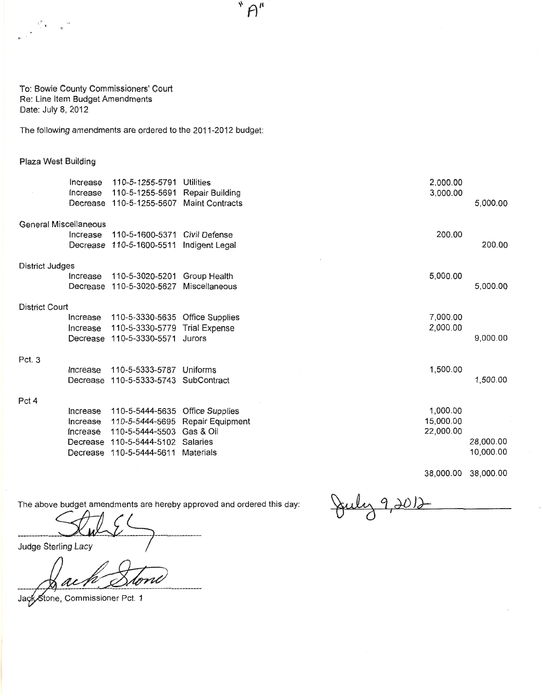To: Bowie County Commissioners' Court Re: Line Item Budget Amendments Date: July 8, 2012

The following amendments are ordered to the 2011-2012 budget:

### Plaza West Building

 $\frac{1}{\sqrt{2}}$  . <br> <br> <br> <br> <br> <br> <br> <br> <br> <br> <br> <br> <br><br><br><br><br><br><br><br> <br><br><br><br>

|                       | Increase<br>Increase                                     | 110-5-1255-5791<br>110-5-1255-5691<br>Decrease 110-5-1255-5607                              | Utilities<br>Repair Building<br><b>Maint Contracts</b>                           | 2,000.00<br>3,000.00               | 5,000.00               |
|-----------------------|----------------------------------------------------------|---------------------------------------------------------------------------------------------|----------------------------------------------------------------------------------|------------------------------------|------------------------|
| General Miscellaneous |                                                          |                                                                                             |                                                                                  |                                    |                        |
|                       | Increase<br>Decrease                                     | 110-5-1600-5371<br>110-5-1600-5511                                                          | Civil Defense<br>Indigent Legal                                                  | 200.00                             | 200.00                 |
| District Judges       |                                                          |                                                                                             |                                                                                  |                                    |                        |
|                       | Increase<br>Decrease                                     | 110-5-3020-5201<br>110-5-3020-5627                                                          | Group Health<br>Miscellaneous                                                    | 5,000.00                           | 5,000.00               |
| District Court        |                                                          |                                                                                             |                                                                                  |                                    |                        |
|                       | Increase<br>Increase<br>Decrease                         | 110-5-3330-5635 Office Supplies<br>110-5-3330-5779<br>110-5-3330-5571                       | <b>Trial Expense</b><br>Jurors                                                   | 7,000.00<br>2,000.00               | 9,000.00               |
| Pct. 3                |                                                          |                                                                                             |                                                                                  |                                    |                        |
|                       | Increase<br>Decrease                                     | 110-5-5333-5787<br>110-5-5333-5743                                                          | Uniforms<br>SubContract                                                          | 1,500.00                           | 1,500.00               |
| Pct 4                 |                                                          |                                                                                             |                                                                                  |                                    |                        |
|                       | Increase<br>Increase<br>Increase<br>Decrease<br>Decrease | 110-5-5444-5635<br>110-5-5444-5695<br>110-5-5444-5503<br>110-5-5444-5102<br>110-5-5444-5611 | <b>Office Supplies</b><br>Repair Equipment<br>Gas & Oil<br>Salaries<br>Materials | 1,000.00<br>15,000.00<br>22,000.00 | 28,000.00<br>10,000.00 |

 $"A"$ 

38,000.00 38,000.00

The above budget amendments are hereby approved and ordered this day:

--------------~-~ -----------------

Judge Sterling Lacy

ac

Jack Stone, Commissioner Pct. 1

July 9,2012